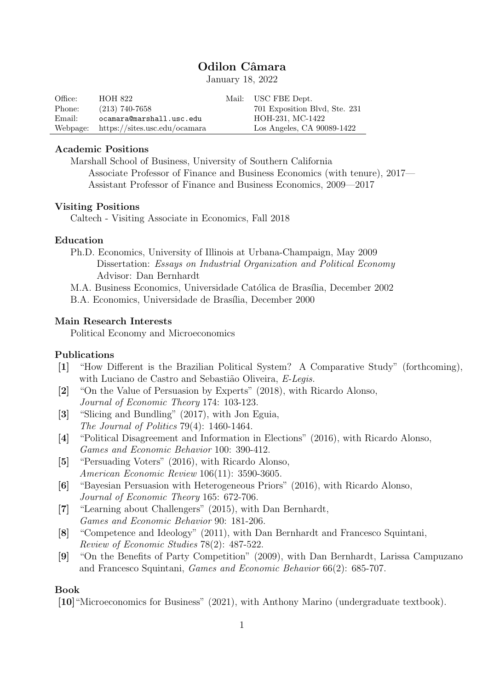# Odilon Câmara

January 18, 2022

| Office:  | HOH 822                       | Mail: USC FBE Dept.           |
|----------|-------------------------------|-------------------------------|
| Phone:   | $(213)$ 740-7658              | 701 Exposition Blvd, Ste. 231 |
| Email:   | ocamara@marshall.usc.edu      | HOH-231, MC-1422              |
| Webpage: | https://sites.usc.edu/ocamara | Los Angeles, CA 90089-1422    |

## Academic Positions

Marshall School of Business, University of Southern California

Associate Professor of Finance and Business Economics (with tenure), 2017— Assistant Professor of Finance and Business Economics, 2009—2017

#### Visiting Positions

Caltech - Visiting Associate in Economics, Fall 2018

#### Education

- Ph.D. Economics, University of Illinois at Urbana-Champaign, May 2009 Dissertation: Essays on Industrial Organization and Political Economy Advisor: Dan Bernhardt
- M.A. Business Economics, Universidade Católica de Brasília, December 2002

B.A. Economics, Universidade de Brasília, December 2000

#### Main Research Interests

Political Economy and Microeconomics

### Publications

- [1] "How Different is the Brazilian Political System? A Comparative Study" (forthcoming), with Luciano de Castro and Sebastião Oliveira, E-Legis.
- [2] "On the Value of Persuasion by Experts" (2018), with Ricardo Alonso, Journal of Economic Theory 174: 103-123.
- [3] "Slicing and Bundling" (2017), with Jon Eguia, The Journal of Politics 79(4): 1460-1464.
- [4] "Political Disagreement and Information in Elections" (2016), with Ricardo Alonso, Games and Economic Behavior 100: 390-412.
- [5] "Persuading Voters" (2016), with Ricardo Alonso, American Economic Review 106(11): 3590-3605.
- [6] "Bayesian Persuasion with Heterogeneous Priors" (2016), with Ricardo Alonso, Journal of Economic Theory 165: 672-706.
- [7] "Learning about Challengers" (2015), with Dan Bernhardt, Games and Economic Behavior 90: 181-206.
- [8] "Competence and Ideology" (2011), with Dan Bernhardt and Francesco Squintani, Review of Economic Studies 78(2): 487-522.
- [9] "On the Benefits of Party Competition" (2009), with Dan Bernhardt, Larissa Campuzano and Francesco Squintani, Games and Economic Behavior 66(2): 685-707.

#### Book

[10]"Microeconomics for Business" (2021), with Anthony Marino (undergraduate textbook).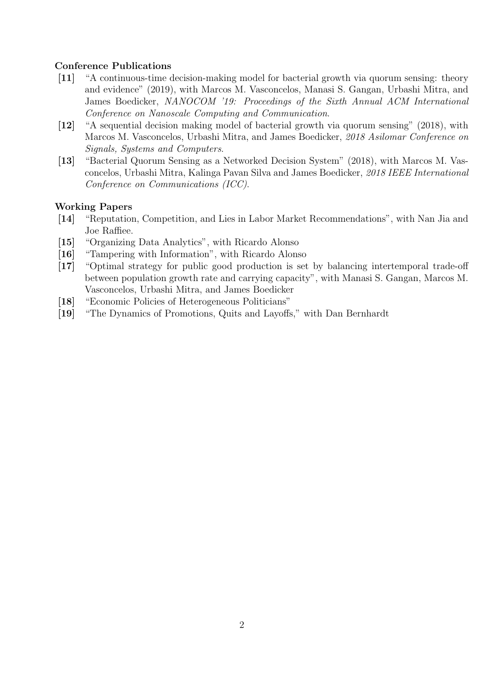## Conference Publications

- [11] "A continuous-time decision-making model for bacterial growth via quorum sensing: theory and evidence" (2019), with Marcos M. Vasconcelos, Manasi S. Gangan, Urbashi Mitra, and James Boedicker, NANOCOM '19: Proceedings of the Sixth Annual ACM International Conference on Nanoscale Computing and Communication.
- [12] "A sequential decision making model of bacterial growth via quorum sensing" (2018), with Marcos M. Vasconcelos, Urbashi Mitra, and James Boedicker, 2018 Asilomar Conference on Signals, Systems and Computers.
- [13] "Bacterial Quorum Sensing as a Networked Decision System" (2018), with Marcos M. Vasconcelos, Urbashi Mitra, Kalinga Pavan Silva and James Boedicker, 2018 IEEE International Conference on Communications (ICC).

### Working Papers

- [14] "Reputation, Competition, and Lies in Labor Market Recommendations", with Nan Jia and Joe Raffiee.
- [15] "Organizing Data Analytics", with Ricardo Alonso
- [16] "Tampering with Information", with Ricardo Alonso
- [17] "Optimal strategy for public good production is set by balancing intertemporal trade-off between population growth rate and carrying capacity", with Manasi S. Gangan, Marcos M. Vasconcelos, Urbashi Mitra, and James Boedicker
- [18] "Economic Policies of Heterogeneous Politicians"
- [19] "The Dynamics of Promotions, Quits and Layoffs," with Dan Bernhardt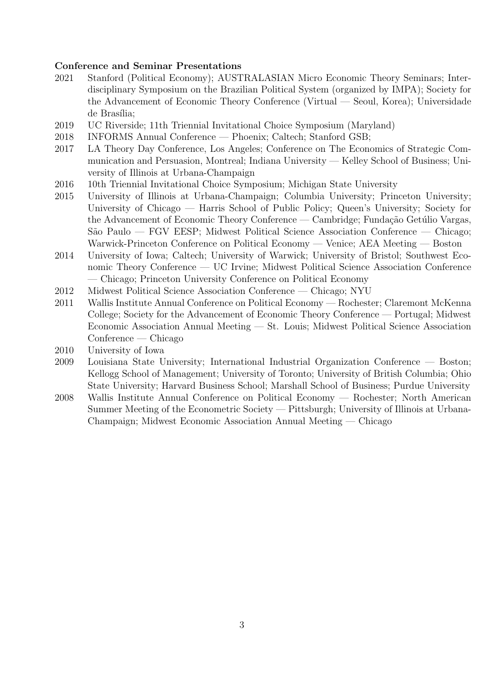## Conference and Seminar Presentations

- 2021 Stanford (Political Economy); AUSTRALASIAN Micro Economic Theory Seminars; Interdisciplinary Symposium on the Brazilian Political System (organized by IMPA); Society for the Advancement of Economic Theory Conference (Virtual — Seoul, Korea); Universidade de Brasília;
- 2019 UC Riverside; 11th Triennial Invitational Choice Symposium (Maryland)
- 2018 INFORMS Annual Conference Phoenix; Caltech; Stanford GSB;
- 2017 LA Theory Day Conference, Los Angeles; Conference on The Economics of Strategic Communication and Persuasion, Montreal; Indiana University — Kelley School of Business; University of Illinois at Urbana-Champaign
- 2016 10th Triennial Invitational Choice Symposium; Michigan State University
- 2015 University of Illinois at Urbana-Champaign; Columbia University; Princeton University; University of Chicago — Harris School of Public Policy; Queen's University; Society for the Advancement of Economic Theory Conference — Cambridge; Fundação Getúlio Vargas, S˜ao Paulo — FGV EESP; Midwest Political Science Association Conference — Chicago; Warwick-Princeton Conference on Political Economy — Venice; AEA Meeting — Boston
- 2014 University of Iowa; Caltech; University of Warwick; University of Bristol; Southwest Economic Theory Conference — UC Irvine; Midwest Political Science Association Conference — Chicago; Princeton University Conference on Political Economy
- 2012 Midwest Political Science Association Conference Chicago; NYU
- 2011 Wallis Institute Annual Conference on Political Economy Rochester; Claremont McKenna College; Society for the Advancement of Economic Theory Conference — Portugal; Midwest Economic Association Annual Meeting — St. Louis; Midwest Political Science Association Conference — Chicago
- 2010 University of Iowa
- 2009 Louisiana State University; International Industrial Organization Conference Boston; Kellogg School of Management; University of Toronto; University of British Columbia; Ohio State University; Harvard Business School; Marshall School of Business; Purdue University
- 2008 Wallis Institute Annual Conference on Political Economy Rochester; North American Summer Meeting of the Econometric Society — Pittsburgh; University of Illinois at Urbana-Champaign; Midwest Economic Association Annual Meeting — Chicago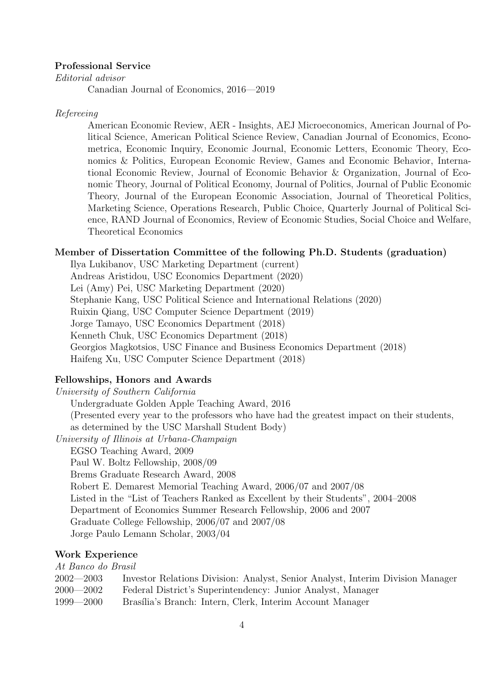#### Professional Service

Editorial advisor

Canadian Journal of Economics, 2016—2019

#### Refereeing

American Economic Review, AER - Insights, AEJ Microeconomics, American Journal of Political Science, American Political Science Review, Canadian Journal of Economics, Econometrica, Economic Inquiry, Economic Journal, Economic Letters, Economic Theory, Economics & Politics, European Economic Review, Games and Economic Behavior, International Economic Review, Journal of Economic Behavior & Organization, Journal of Economic Theory, Journal of Political Economy, Journal of Politics, Journal of Public Economic Theory, Journal of the European Economic Association, Journal of Theoretical Politics, Marketing Science, Operations Research, Public Choice, Quarterly Journal of Political Science, RAND Journal of Economics, Review of Economic Studies, Social Choice and Welfare, Theoretical Economics

#### Member of Dissertation Committee of the following Ph.D. Students (graduation)

Ilya Lukibanov, USC Marketing Department (current) Andreas Aristidou, USC Economics Department (2020) Lei (Amy) Pei, USC Marketing Department (2020) Stephanie Kang, USC Political Science and International Relations (2020) Ruixin Qiang, USC Computer Science Department (2019) Jorge Tamayo, USC Economics Department (2018) Kenneth Chuk, USC Economics Department (2018) Georgios Magkotsios, USC Finance and Business Economics Department (2018) Haifeng Xu, USC Computer Science Department (2018)

# Fellowships, Honors and Awards

University of Southern California Undergraduate Golden Apple Teaching Award, 2016 (Presented every year to the professors who have had the greatest impact on their students, as determined by the USC Marshall Student Body) University of Illinois at Urbana-Champaign EGSO Teaching Award, 2009 Paul W. Boltz Fellowship, 2008/09 Brems Graduate Research Award, 2008 Robert E. Demarest Memorial Teaching Award, 2006/07 and 2007/08 Listed in the "List of Teachers Ranked as Excellent by their Students", 2004–2008 Department of Economics Summer Research Fellowship, 2006 and 2007 Graduate College Fellowship, 2006/07 and 2007/08 Jorge Paulo Lemann Scholar, 2003/04

### Work Experience

| At Banco do Brasil |                                                                                |  |  |  |
|--------------------|--------------------------------------------------------------------------------|--|--|--|
| $2002 - 2003$      | Investor Relations Division: Analyst, Senior Analyst, Interim Division Manager |  |  |  |
| $2000 - 2002$      | Federal District's Superintendency: Junior Analyst, Manager                    |  |  |  |
| $1999 - 2000$      | Brasília's Branch: Intern, Clerk, Interim Account Manager                      |  |  |  |